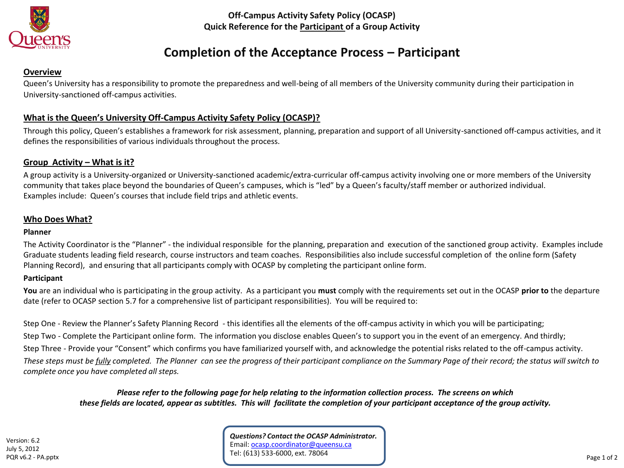

**Off-Campus Activity Safety Policy (OCASP) Quick Reference for the Participant of a Group Activity**

# **Completion of the Acceptance Process – Participant**

### **Overview**

Queen's University has a responsibility to promote the preparedness and well-being of all members of the University community during their participation in University-sanctioned off-campus activities.

## **What is the Queen's University Off-Campus Activity Safety Policy (OCASP)?**

Through this policy, Queen's establishes a framework for risk assessment, planning, preparation and support of all University-sanctioned off-campus activities, and it defines the responsibilities of various individuals throughout the process.

### **Group Activity – What is it?**

A group activity is a University-organized or University-sanctioned academic/extra-curricular off-campus activity involving one or more members of the University community that takes place beyond the boundaries of Queen's campuses, which is "led" by a Queen's faculty/staff member or authorized individual. Examples include: Queen's courses that include field trips and athletic events.

### **Who Does What?**

#### **Planner**

The Activity Coordinator is the "Planner" - the individual responsible for the planning, preparation and execution of the sanctioned group activity. Examples include Graduate students leading field research, course instructors and team coaches. Responsibilities also include successful completion of the online form (Safety Planning Record), and ensuring that all participants comply with OCASP by completing the participant online form.

### **Participant**

**You** are an individual who is participating in the group activity. As a participant you **must** comply with the requirements set out in the OCASP **prior to** the departure date (refer to OCASP section 5.7 for a comprehensive list of participant responsibilities). You will be required to:

Step One - Review the Planner's Safety Planning Record - this identifies all the elements of the off-campus activity in which you will be participating; Step Two - Complete the Participant online form. The information you disclose enables Queen's to support you in the event of an emergency. And thirdly; Step Three - Provide your "Consent" which confirms you have familiarized yourself with, and acknowledge the potential risks related to the off-campus activity. *These steps must be fully completed. The Planner can see the progress of their participant compliance on the Summary Page of their record; the status will switch to complete once you have completed all steps.*

*Please refer to the following page for help relating to the information collection process. The screens on which these fields are located, appear as subtitles. This will facilitate the completion of your participant acceptance of the group activity.*

*Questions? Contact the OCASP Administrator.* Email: [ocasp.coordinator@queensu.ca](mailto:ocasp.coordinator@queensu.ca) Tel: (613) 533-6000, ext. 78064